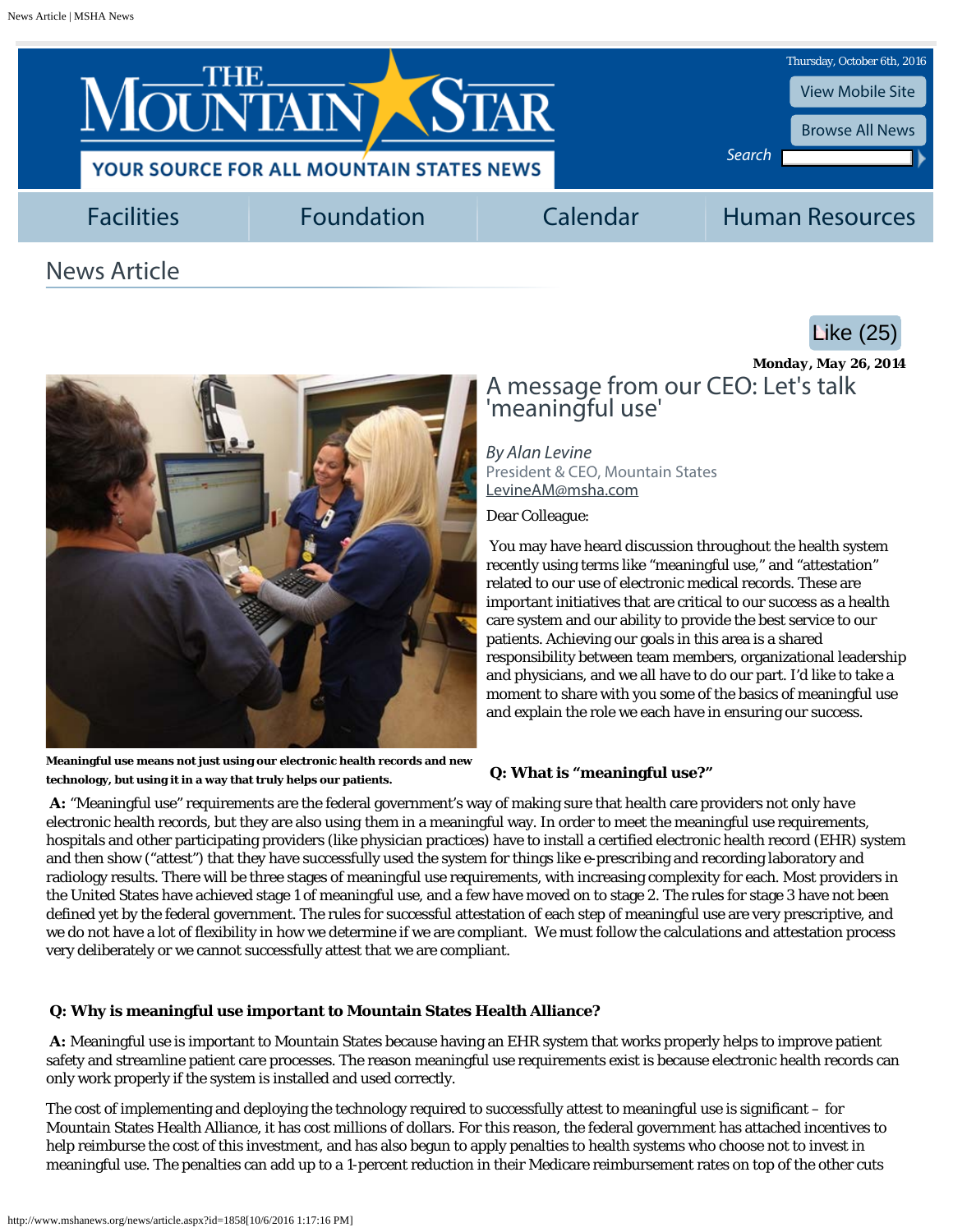<span id="page-0-0"></span>

# News Article





**Meaningful use means not just using our electronic health records and new technology, but using it in a way that truly helps our patients.**

## *Monday, May 26, 2014* A message from our CEO: Let's talk 'meaningful use'

*By Alan Levine* President & CEO, Mountain States [LevineAM@msha.com](mailto:LevineAM@msha.com)

Dear Colleague:

You may have heard discussion throughout the health system recently using terms like "meaningful use," and "attestation" related to our use of electronic medical records. These are important initiatives that are critical to our success as a health care system and our ability to provide the best service to our patients. Achieving our goals in this area is a shared responsibility between team members, organizational leadership and physicians, and we all have to do our part. I'd like to take a moment to share with you some of the basics of meaningful use and explain the role we each have in ensuring our success.

## **Q: What is "meaningful use?"**

**A:** "Meaningful use" requirements are the federal government's way of making sure that health care providers not only *have* electronic health records, but they are also *using* them in a meaningful way. In order to meet the meaningful use requirements, hospitals and other participating providers (like physician practices) have to install a certified electronic health record (EHR) system and then show ("attest") that they have successfully used the system for things like e-prescribing and recording laboratory and radiology results. There will be three stages of meaningful use requirements, with increasing complexity for each. Most providers in the United States have achieved stage 1 of meaningful use, and a few have moved on to stage 2. The rules for stage 3 have not been defined yet by the federal government. The rules for successful attestation of each step of meaningful use are very prescriptive, and we do not have a lot of flexibility in how we determine if we are compliant. We must follow the calculations and attestation process very deliberately or we cannot successfully attest that we are compliant.

## **Q: Why is meaningful use important to Mountain States Health Alliance?**

**A:** Meaningful use is important to Mountain States because having an EHR system that works properly helps to improve patient safety and streamline patient care processes. The reason meaningful use requirements exist is because electronic health records can only work properly if the system is installed and used correctly.

The cost of implementing and deploying the technology required to successfully attest to meaningful use is significant – for Mountain States Health Alliance, it has cost millions of dollars. For this reason, the federal government has attached incentives to help reimburse the cost of this investment, and has also begun to apply penalties to health systems who choose not to invest in meaningful use. The penalties can add up to a 1-percent reduction in their Medicare reimbursement rates on top of the other cuts